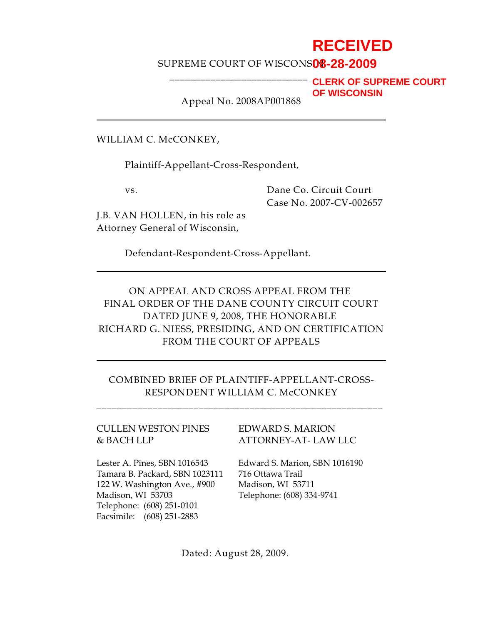## **RECEIVED**

### SUPREME COURT OF WISCONS**08-28-2009**

**CLERK OF SUPREME COURT OF WISCONSIN**

Appeal No. 2008AP001868

\_\_\_\_\_\_\_\_\_\_\_\_\_\_\_\_\_\_\_\_\_\_\_\_\_\_\_

WILLIAM C. McCONKEY,

Plaintiff-Appellant-Cross-Respondent,

vs. Dane Co. Circuit Court Case No. 2007-CV-002657

J.B. VAN HOLLEN, in his role as Attorney General of Wisconsin,

Defendant-Respondent-Cross-Appellant.

ON APPEAL AND CROSS APPEAL FROM THE FINAL ORDER OF THE DANE COUNTY CIRCUIT COURT DATED JUNE 9, 2008, THE HONORABLE RICHARD G. NIESS, PRESIDING, AND ON CERTIFICATION FROM THE COURT OF APPEALS

COMBINED BRIEF OF PLAINTIFF-APPELLANT-CROSS-RESPONDENT WILLIAM C. McCONKEY

**\_\_\_\_\_\_\_\_\_\_\_\_\_\_\_\_\_\_\_\_\_\_\_\_\_\_\_\_\_\_\_\_\_\_\_\_\_\_\_\_\_\_\_\_\_\_\_\_\_\_\_\_\_\_\_\_** 

# CULLEN WESTON PINES EDWARD S. MARION

& BACH LLP ATTORNEY-AT- LAW LLC

Lester A. Pines, SBN 1016543 Edward S. Marion, SBN 1016190 Tamara B. Packard, SBN 1023111 716 Ottawa Trail 122 W. Washington Ave., #900 Madison, WI 53711 Madison, WI 53703 Telephone: (608) 334-9741 Telephone: (608) 251-0101 Facsimile: (608) 251-2883

Dated: August 28, 2009.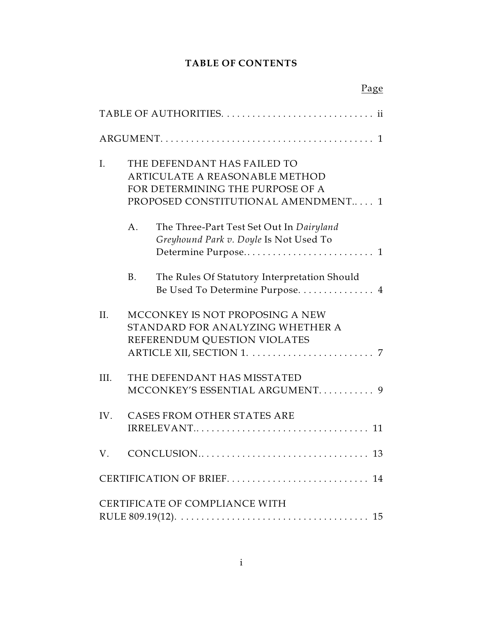### **TABLE OF CONTENTS**

|                |                                                                                                                                          | Page                                                                                                |  |
|----------------|------------------------------------------------------------------------------------------------------------------------------------------|-----------------------------------------------------------------------------------------------------|--|
|                |                                                                                                                                          |                                                                                                     |  |
|                |                                                                                                                                          |                                                                                                     |  |
| $\mathbf{I}$ . | THE DEFENDANT HAS FAILED TO<br>ARTICULATE A REASONABLE METHOD<br>FOR DETERMINING THE PURPOSE OF A<br>PROPOSED CONSTITUTIONAL AMENDMENT 1 |                                                                                                     |  |
|                | A.                                                                                                                                       | The Three-Part Test Set Out In Dairyland<br>Greyhound Park v. Doyle Is Not Used To                  |  |
|                | <b>B.</b>                                                                                                                                | The Rules Of Statutory Interpretation Should<br>Be Used To Determine Purpose 4                      |  |
| II.            |                                                                                                                                          | MCCONKEY IS NOT PROPOSING A NEW<br>STANDARD FOR ANALYZING WHETHER A<br>REFERENDUM QUESTION VIOLATES |  |
| III.           |                                                                                                                                          | THE DEFENDANT HAS MISSTATED<br>MCCONKEY'S ESSENTIAL ARGUMENT 9                                      |  |
| IV.            |                                                                                                                                          | CASES FROM OTHER STATES ARE                                                                         |  |
|                |                                                                                                                                          |                                                                                                     |  |
|                |                                                                                                                                          | CERTIFICATION OF BRIEF<br>14                                                                        |  |
|                |                                                                                                                                          | CERTIFICATE OF COMPLIANCE WITH                                                                      |  |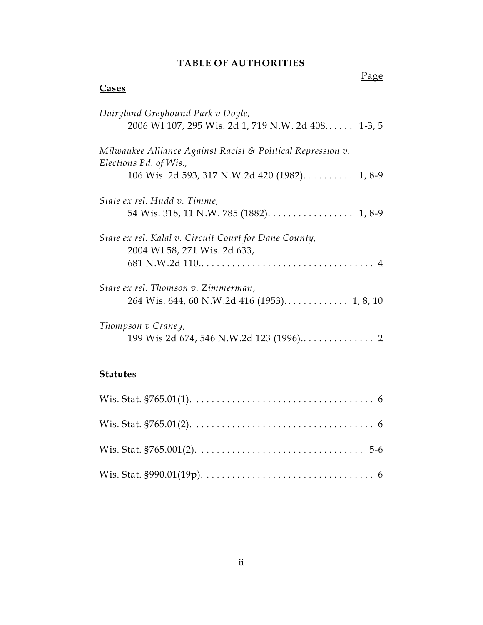#### **TABLE OF AUTHORITIES**

# Page **Cases** *Dairyland Greyhound Park v Doyle*, 2006 WI 107, 295 Wis. 2d 1, 719 N.W. 2d 408. . . . . . 1-3, 5 *Milwaukee Alliance Against Racist & Political Repression v. Elections Bd. of Wis.,*  106 Wis. 2d 593, 317 N.W.2d 420 (1982). . . . . . . . . . 1, 8-9 *State ex rel. Hudd v. Timme,* 54 Wis. 318, 11 N.W. 785 (1882). . . . . . . . . . . . . . . . . 1, 8-9 *State ex rel. Kalal v. Circuit Court for Dane County,*  2004 WI 58, 271 Wis. 2d 633, 681 N.W.2d 110................................... 4 *State ex rel. Thomson v. Zimmerman*, 264 Wis. 644, 60 N.W.2d 416 (1953). . . . . . . . . . . . . 1, 8, 10 *Thompson v Craney*, 199 Wis 2d 674, 546 N.W.2d 123 (1996).. . . . . . . . . . . . . . 2

#### **Statutes**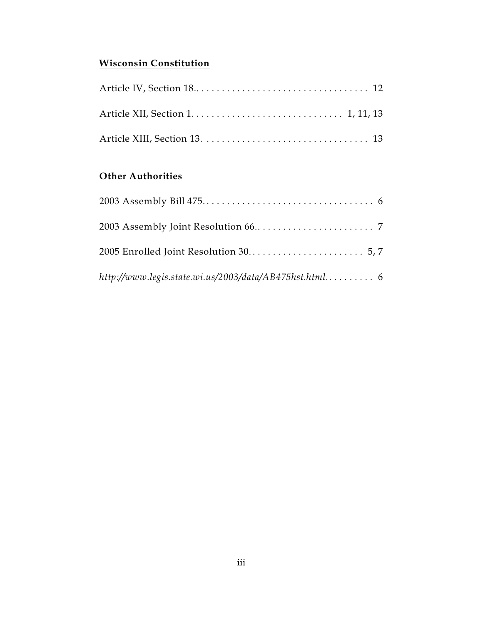### **Wisconsin Constitution**

### **Other Authorities**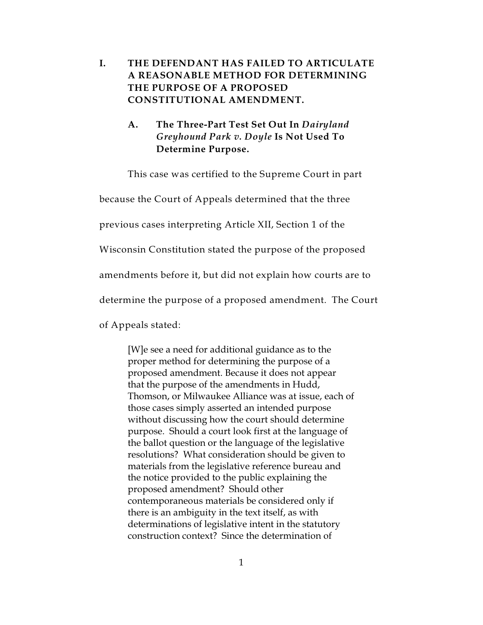### **I. THE DEFENDANT HAS FAILED TO ARTICULATE A REASONABLE METHOD FOR DETERMINING THE PURPOSE OF A PROPOSED CONSTITUTIONAL AMENDMENT.**

### **A. The Three-Part Test Set Out In** *Dairyland Greyhound Park v. Doyle* **Is Not Used To Determine Purpose.**

This case was certified to the Supreme Court in part

because the Court of Appeals determined that the three

previous cases interpreting Article XII, Section 1 of the

Wisconsin Constitution stated the purpose of the proposed

amendments before it, but did not explain how courts are to

determine the purpose of a proposed amendment. The Court

of Appeals stated:

[W]e see a need for additional guidance as to the proper method for determining the purpose of a proposed amendment. Because it does not appear that the purpose of the amendments in Hudd, Thomson, or Milwaukee Alliance was at issue, each of those cases simply asserted an intended purpose without discussing how the court should determine purpose. Should a court look first at the language of the ballot question or the language of the legislative resolutions? What consideration should be given to materials from the legislative reference bureau and the notice provided to the public explaining the proposed amendment? Should other contemporaneous materials be considered only if there is an ambiguity in the text itself, as with determinations of legislative intent in the statutory construction context? Since the determination of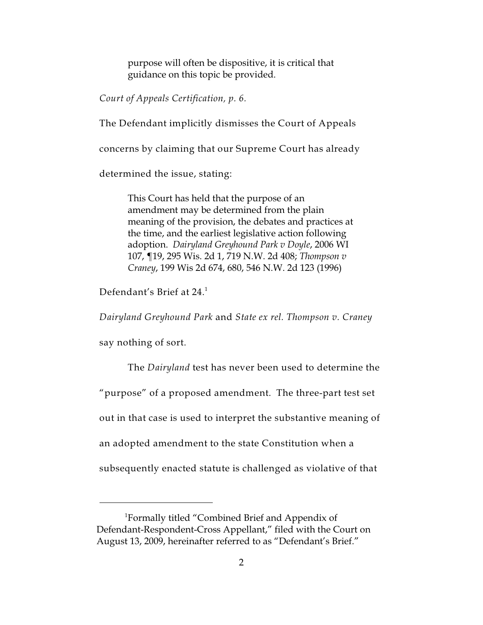purpose will often be dispositive, it is critical that guidance on this topic be provided.

*Court of Appeals Certification, p. 6.*

The Defendant implicitly dismisses the Court of Appeals

concerns by claiming that our Supreme Court has already

determined the issue, stating:

This Court has held that the purpose of an amendment may be determined from the plain meaning of the provision, the debates and practices at the time, and the earliest legislative action following adoption. *Dairyland Greyhound Park v Doyle*, 2006 WI 107, ¶19, 295 Wis. 2d 1, 719 N.W. 2d 408; *Thompson v Craney*, 199 Wis 2d 674, 680, 546 N.W. 2d 123 (1996)

Defendant's Brief at 24.<sup>1</sup>

*Dairyland Greyhound Park* and *State ex rel. Thompson v. Craney*

say nothing of sort.

The *Dairyland* test has never been used to determine the "purpose" of a proposed amendment. The three-part test set out in that case is used to interpret the substantive meaning of an adopted amendment to the state Constitution when a subsequently enacted statute is challenged as violative of that

<sup>&</sup>lt;sup>1</sup>Formally titled "Combined Brief and Appendix of Defendant-Respondent-Cross Appellant," filed with the Court on August 13, 2009, hereinafter referred to as "Defendant's Brief."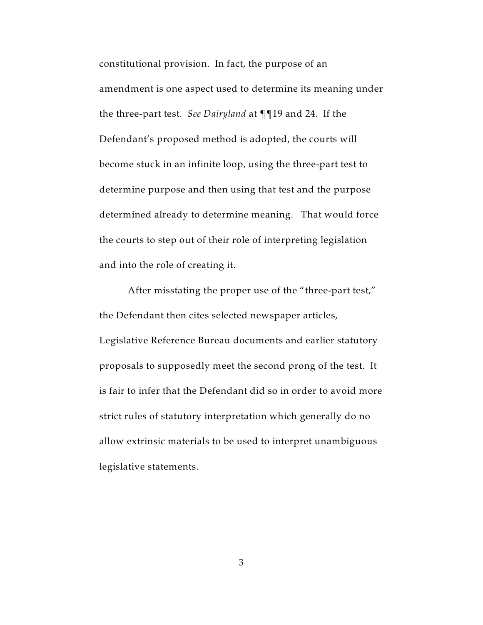constitutional provision. In fact, the purpose of an amendment is one aspect used to determine its meaning under the three-part test. *See Dairyland* at ¶¶19 and 24. If the Defendant's proposed method is adopted, the courts will become stuck in an infinite loop, using the three-part test to determine purpose and then using that test and the purpose determined already to determine meaning. That would force the courts to step out of their role of interpreting legislation and into the role of creating it.

After misstating the proper use of the "three-part test," the Defendant then cites selected newspaper articles, Legislative Reference Bureau documents and earlier statutory proposals to supposedly meet the second prong of the test. It is fair to infer that the Defendant did so in order to avoid more strict rules of statutory interpretation which generally do no allow extrinsic materials to be used to interpret unambiguous legislative statements.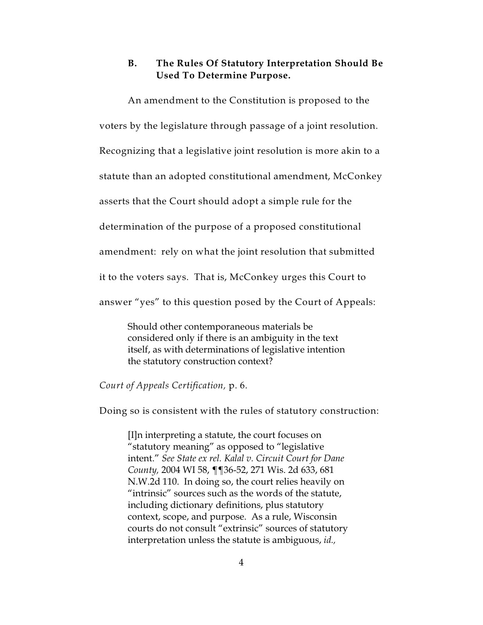### **B. The Rules Of Statutory Interpretation Should Be Used To Determine Purpose.**

An amendment to the Constitution is proposed to the

voters by the legislature through passage of a joint resolution.

Recognizing that a legislative joint resolution is more akin to a

statute than an adopted constitutional amendment, McConkey

asserts that the Court should adopt a simple rule for the

determination of the purpose of a proposed constitutional

amendment: rely on what the joint resolution that submitted

it to the voters says. That is, McConkey urges this Court to

answer "yes" to this question posed by the Court of Appeals:

Should other contemporaneous materials be considered only if there is an ambiguity in the text itself, as with determinations of legislative intention the statutory construction context?

#### *Court of Appeals Certification,* p. 6.

Doing so is consistent with the rules of statutory construction:

[I]n interpreting a statute, the court focuses on "statutory meaning" as opposed to "legislative intent." *See State ex rel. Kalal v. Circuit Court for Dane County,* 2004 WI 58, ¶¶36-52, 271 Wis. 2d 633, 681 N.W.2d 110. In doing so, the court relies heavily on "intrinsic" sources such as the words of the statute, including dictionary definitions, plus statutory context, scope, and purpose. As a rule, Wisconsin courts do not consult "extrinsic" sources of statutory interpretation unless the statute is ambiguous, *id.,*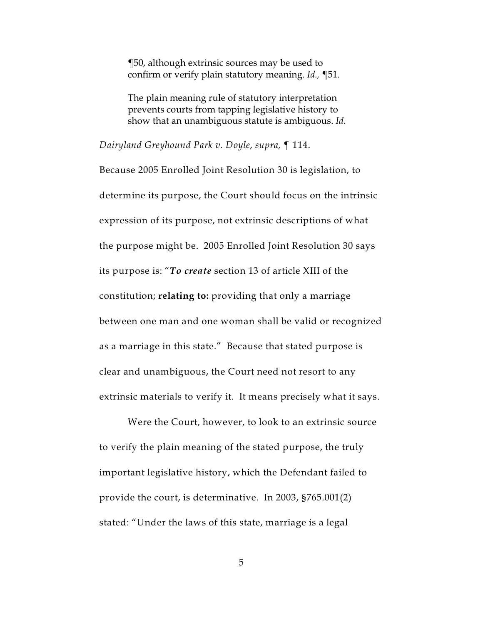¶50, although extrinsic sources may be used to confirm or verify plain statutory meaning. *Id.,* ¶51.

The plain meaning rule of statutory interpretation prevents courts from tapping legislative history to show that an unambiguous statute is ambiguous. *Id.*

*Dairyland Greyhound Park v. Doyle*, *supra,* ¶ 114.

Because 2005 Enrolled Joint Resolution 30 is legislation, to determine its purpose, the Court should focus on the intrinsic expression of its purpose, not extrinsic descriptions of what the purpose might be. 2005 Enrolled Joint Resolution 30 says its purpose is: "*To create* section 13 of article XIII of the constitution; **relating to:** providing that only a marriage between one man and one woman shall be valid or recognized as a marriage in this state." Because that stated purpose is clear and unambiguous, the Court need not resort to any extrinsic materials to verify it. It means precisely what it says.

Were the Court, however, to look to an extrinsic source to verify the plain meaning of the stated purpose, the truly important legislative history, which the Defendant failed to provide the court, is determinative. In 2003, §765.001(2) stated: "Under the laws of this state, marriage is a legal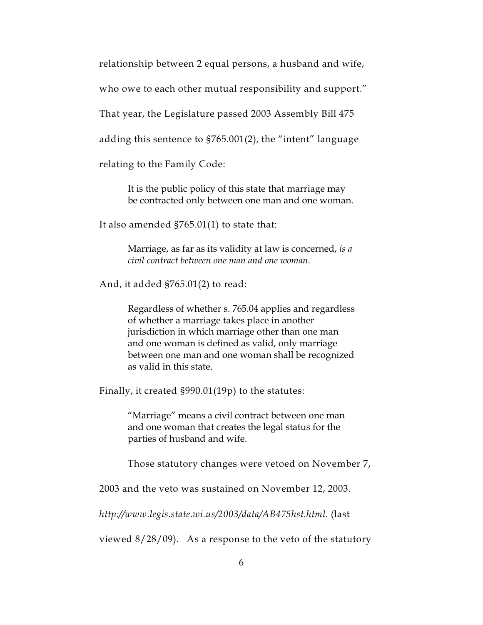relationship between 2 equal persons, a husband and wife,

who owe to each other mutual responsibility and support."

That year, the Legislature passed 2003 Assembly Bill 475

adding this sentence to §765.001(2), the "intent" language

relating to the Family Code:

It is the public policy of this state that marriage may be contracted only between one man and one woman.

It also amended §765.01(1) to state that:

Marriage, as far as its validity at law is concerned, *is a civil contract between one man and one woman.*

And, it added §765.01(2) to read:

Regardless of whether s. 765.04 applies and regardless of whether a marriage takes place in another jurisdiction in which marriage other than one man and one woman is defined as valid, only marriage between one man and one woman shall be recognized as valid in this state.

Finally, it created §990.01(19p) to the statutes:

"Marriage" means a civil contract between one man and one woman that creates the legal status for the parties of husband and wife.

Those statutory changes were vetoed on November 7,

2003 and the veto was sustained on November 12, 2003.

*http://www.legis.state.wi.us/2003/data/AB475hst.html.* (last

viewed  $8/28/09$ . As a response to the veto of the statutory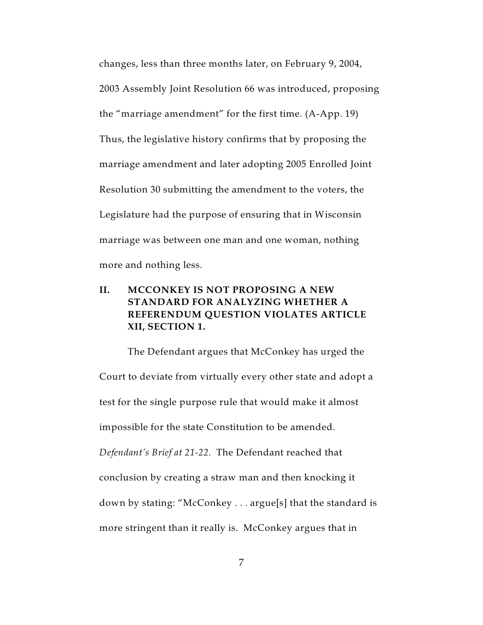changes, less than three months later, on February 9, 2004, 2003 Assembly Joint Resolution 66 was introduced, proposing the "marriage amendment" for the first time. (A-App. 19) Thus, the legislative history confirms that by proposing the marriage amendment and later adopting 2005 Enrolled Joint Resolution 30 submitting the amendment to the voters, the Legislature had the purpose of ensuring that in Wisconsin marriage was between one man and one woman, nothing more and nothing less.

### **II. MCCONKEY IS NOT PROPOSING A NEW STANDARD FOR ANALYZING WHETHER A REFERENDUM QUESTION VIOLATES ARTICLE XII, SECTION 1.**

The Defendant argues that McConkey has urged the Court to deviate from virtually every other state and adopt a test for the single purpose rule that would make it almost impossible for the state Constitution to be amended. *Defendant's Brief at 21-22.* The Defendant reached that conclusion by creating a straw man and then knocking it down by stating: "McConkey . . . argue[s] that the standard is more stringent than it really is. McConkey argues that in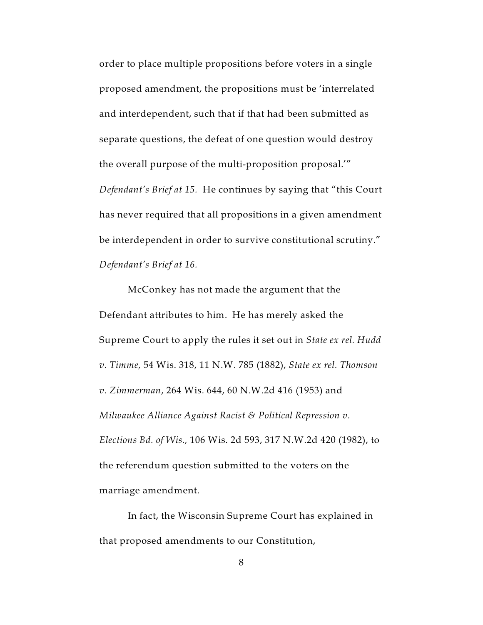order to place multiple propositions before voters in a single proposed amendment, the propositions must be 'interrelated and interdependent, such that if that had been submitted as separate questions, the defeat of one question would destroy the overall purpose of the multi-proposition proposal.'" *Defendant's Brief at 15.* He continues by saying that "this Court has never required that all propositions in a given amendment be interdependent in order to survive constitutional scrutiny." *Defendant's Brief at 16.*

McConkey has not made the argument that the Defendant attributes to him. He has merely asked the Supreme Court to apply the rules it set out in *State ex rel. Hudd v. Timme,* 54 Wis. 318, 11 N.W. 785 (1882), *State ex rel. Thomson v. Zimmerman*, 264 Wis. 644, 60 N.W.2d 416 (1953) and *Milwaukee Alliance Against Racist & Political Repression v. Elections Bd. of Wis.,* 106 Wis. 2d 593, 317 N.W.2d 420 (1982), to the referendum question submitted to the voters on the marriage amendment.

In fact, the Wisconsin Supreme Court has explained in that proposed amendments to our Constitution,

8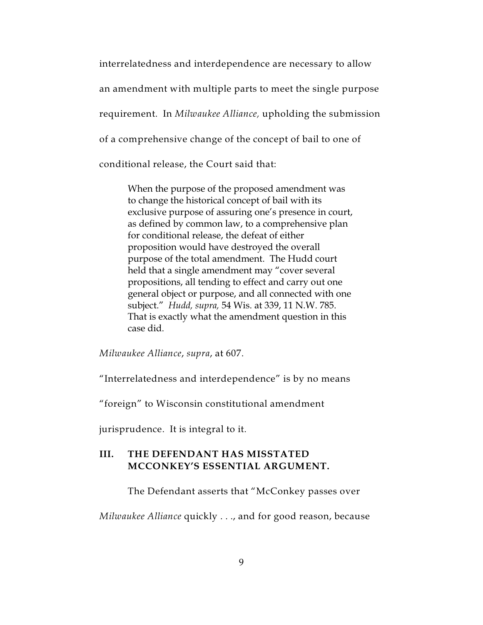interrelatedness and interdependence are necessary to allow an amendment with multiple parts to meet the single purpose requirement. In *Milwaukee Alliance,* upholding the submission of a comprehensive change of the concept of bail to one of conditional release, the Court said that:

When the purpose of the proposed amendment was to change the historical concept of bail with its exclusive purpose of assuring one's presence in court, as defined by common law, to a comprehensive plan for conditional release, the defeat of either proposition would have destroyed the overall purpose of the total amendment. The Hudd court held that a single amendment may "cover several propositions, all tending to effect and carry out one general object or purpose, and all connected with one subject." *Hudd, supra,* 54 Wis. at 339, 11 N.W. 785. That is exactly what the amendment question in this case did.

*Milwaukee Alliance*, *supra*, at 607.

"Interrelatedness and interdependence" is by no means

"foreign" to Wisconsin constitutional amendment

jurisprudence. It is integral to it.

### **III. THE DEFENDANT HAS MISSTATED MCCONKEY'S ESSENTIAL ARGUMENT.**

The Defendant asserts that "McConkey passes over

*Milwaukee Alliance* quickly . . ., and for good reason, because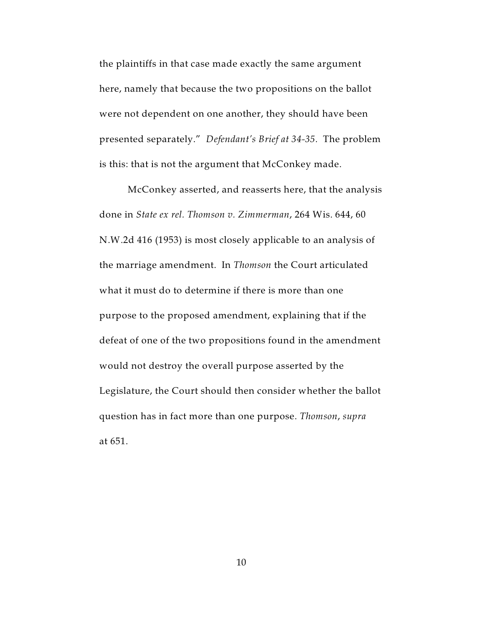the plaintiffs in that case made exactly the same argument here, namely that because the two propositions on the ballot were not dependent on one another, they should have been presented separately." *Defendant's Brief at 34-35.* The problem is this: that is not the argument that McConkey made.

McConkey asserted, and reasserts here, that the analysis done in *State ex rel. Thomson v. Zimmerman*, 264 Wis. 644, 60 N.W.2d 416 (1953) is most closely applicable to an analysis of the marriage amendment. In *Thomson* the Court articulated what it must do to determine if there is more than one purpose to the proposed amendment, explaining that if the defeat of one of the two propositions found in the amendment would not destroy the overall purpose asserted by the Legislature, the Court should then consider whether the ballot question has in fact more than one purpose. *Thomson*, *supra* at 651.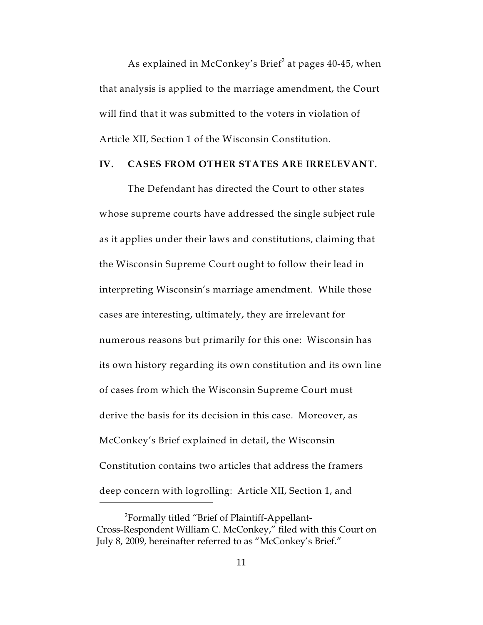As explained in McConkey's Brief<sup>2</sup> at pages  $40-45$ , when that analysis is applied to the marriage amendment, the Court will find that it was submitted to the voters in violation of Article XII, Section 1 of the Wisconsin Constitution.

#### **IV. CASES FROM OTHER STATES ARE IRRELEVANT.**

The Defendant has directed the Court to other states whose supreme courts have addressed the single subject rule as it applies under their laws and constitutions, claiming that the Wisconsin Supreme Court ought to follow their lead in interpreting Wisconsin's marriage amendment. While those cases are interesting, ultimately, they are irrelevant for numerous reasons but primarily for this one: Wisconsin has its own history regarding its own constitution and its own line of cases from which the Wisconsin Supreme Court must derive the basis for its decision in this case. Moreover, as McConkey's Brief explained in detail, the Wisconsin Constitution contains two articles that address the framers deep concern with logrolling: Article XII, Section 1, and

Formally titled "Brief of Plaintiff-Appellant- <sup>2</sup> Cross-Respondent William C. McConkey," filed with this Court on July 8, 2009, hereinafter referred to as "McConkey's Brief."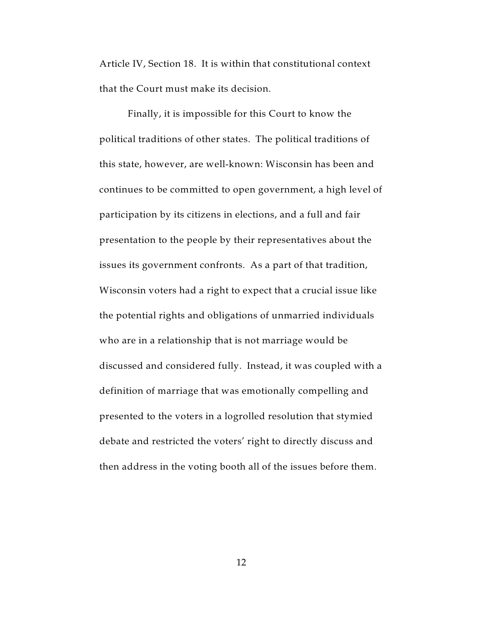Article IV, Section 18. It is within that constitutional context that the Court must make its decision.

Finally, it is impossible for this Court to know the political traditions of other states. The political traditions of this state, however, are well-known: Wisconsin has been and continues to be committed to open government, a high level of participation by its citizens in elections, and a full and fair presentation to the people by their representatives about the issues its government confronts. As a part of that tradition, Wisconsin voters had a right to expect that a crucial issue like the potential rights and obligations of unmarried individuals who are in a relationship that is not marriage would be discussed and considered fully. Instead, it was coupled with a definition of marriage that was emotionally compelling and presented to the voters in a logrolled resolution that stymied debate and restricted the voters' right to directly discuss and then address in the voting booth all of the issues before them.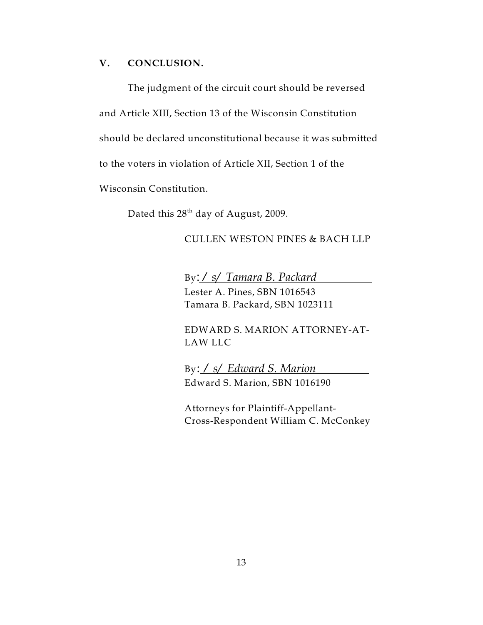#### **V. CONCLUSION.**

The judgment of the circuit court should be reversed and Article XIII, Section 13 of the Wisconsin Constitution should be declared unconstitutional because it was submitted to the voters in violation of Article XII, Section 1 of the Wisconsin Constitution.

Dated this  $28<sup>th</sup>$  day of August, 2009.

### CULLEN WESTON PINES & BACH LLP

By: */ s/ Tamara B. Packard*  Lester A. Pines, SBN 1016543 Tamara B. Packard, SBN 1023111

EDWARD S. MARION ATTORNEY-AT-LAW LLC

By: */ s/ Edward S. Marion*  Edward S. Marion, SBN 1016190

Attorneys for Plaintiff-Appellant-Cross-Respondent William C. McConkey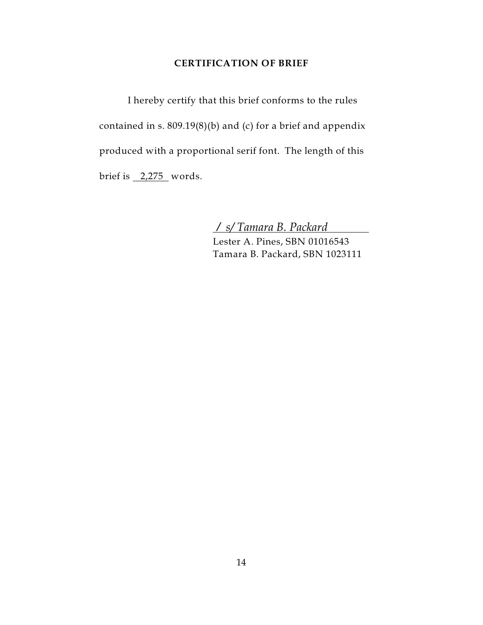#### **CERTIFICATION OF BRIEF**

I hereby certify that this brief conforms to the rules contained in s. 809.19(8)(b) and (c) for a brief and appendix produced with a proportional serif font. The length of this brief is 2,275 words.

*/ s/ Tamara B. Packard* 

Lester A. Pines, SBN 01016543 Tamara B. Packard, SBN 1023111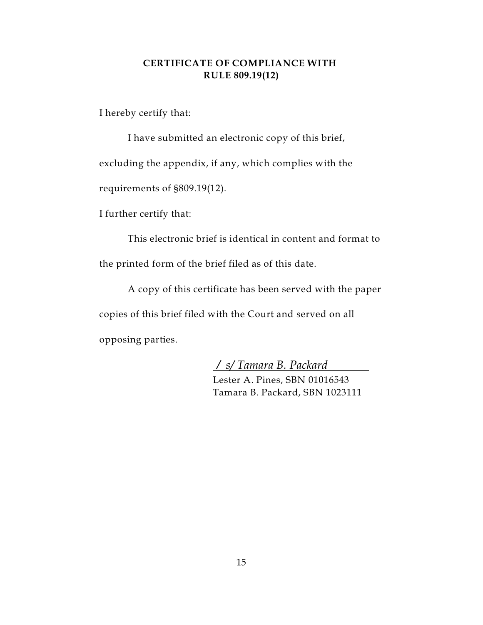### **CERTIFICATE OF COMPLIANCE WITH RULE 809.19(12)**

I hereby certify that:

I have submitted an electronic copy of this brief, excluding the appendix, if any, which complies with the requirements of §809.19(12).

I further certify that:

This electronic brief is identical in content and format to the printed form of the brief filed as of this date.

A copy of this certificate has been served with the paper copies of this brief filed with the Court and served on all opposing parties.

*/ s/ Tamara B. Packard* 

Lester A. Pines, SBN 01016543 Tamara B. Packard, SBN 1023111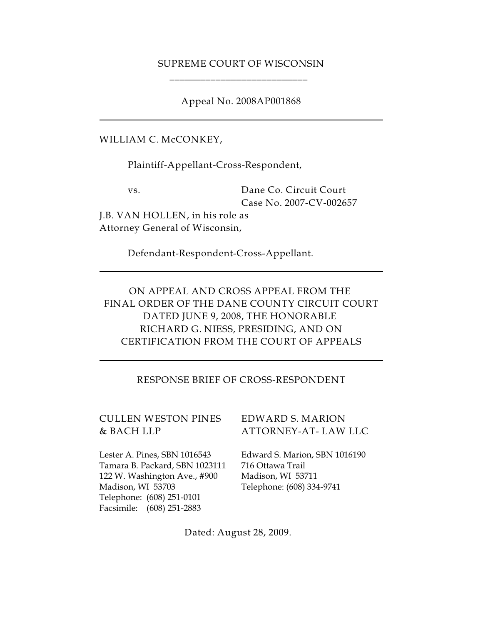### SUPREME COURT OF WISCONSIN \_\_\_\_\_\_\_\_\_\_\_\_\_\_\_\_\_\_\_\_\_\_\_\_\_\_\_

Appeal No. 2008AP001868

WILLIAM C. McCONKEY,

Plaintiff-Appellant-Cross-Respondent,

vs. Dane Co. Circuit Court Case No. 2007-CV-002657

J.B. VAN HOLLEN, in his role as Attorney General of Wisconsin,

Defendant-Respondent-Cross-Appellant.

ON APPEAL AND CROSS APPEAL FROM THE FINAL ORDER OF THE DANE COUNTY CIRCUIT COURT DATED JUNE 9, 2008, THE HONORABLE RICHARD G. NIESS, PRESIDING, AND ON CERTIFICATION FROM THE COURT OF APPEALS

RESPONSE BRIEF OF CROSS-RESPONDENT

CULLEN WESTON PINES EDWARD S. MARION

Lester A. Pines, SBN 1016543 Edward S. Marion, SBN 1016190 Tamara B. Packard, SBN 1023111 716 Ottawa Trail 122 W. Washington Ave., #900 Madison, WI 53711 Madison, WI 53703 Telephone: (608) 334-9741 Telephone: (608) 251-0101 Facsimile: (608) 251-2883

& BACH LLP ATTORNEY-AT- LAW LLC

Dated: August 28, 2009.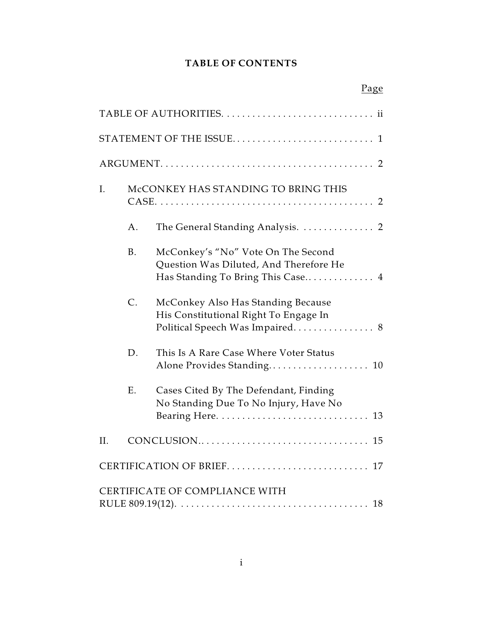### **TABLE OF CONTENTS**

|    |             | Page                                                                                                              |
|----|-------------|-------------------------------------------------------------------------------------------------------------------|
|    |             |                                                                                                                   |
|    |             |                                                                                                                   |
|    |             |                                                                                                                   |
| I. |             | McCONKEY HAS STANDING TO BRING THIS                                                                               |
|    | Α.          | The General Standing Analysis.  2                                                                                 |
|    | <b>B.</b>   | McConkey's "No" Vote On The Second<br>Question Was Diluted, And Therefore He<br>Has Standing To Bring This Case 4 |
|    | $C_{\cdot}$ | McConkey Also Has Standing Because<br>His Constitutional Right To Engage In<br>Political Speech Was Impaired 8    |
|    | D.          | This Is A Rare Case Where Voter Status<br>Alone Provides Standing 10                                              |
|    | Ε.          | Cases Cited By The Defendant, Finding<br>No Standing Due To No Injury, Have No                                    |
|    |             |                                                                                                                   |
|    |             |                                                                                                                   |
|    |             | CERTIFICATE OF COMPLIANCE WITH                                                                                    |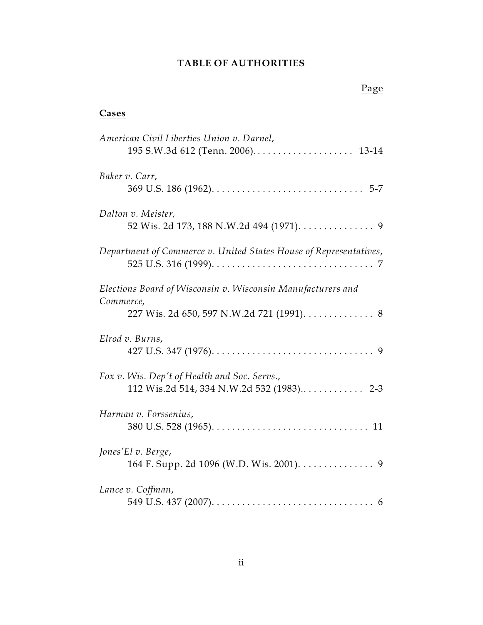### **TABLE OF AUTHORITIES**

| Cases                                                                                                                 |
|-----------------------------------------------------------------------------------------------------------------------|
| American Civil Liberties Union v. Darnel,                                                                             |
| Baker v. Carr,                                                                                                        |
| Dalton v. Meister,<br>52 Wis. 2d 173, 188 N.W.2d 494 (1971). 9                                                        |
| Department of Commerce v. United States House of Representatives,                                                     |
| Elections Board of Wisconsin v. Wisconsin Manufacturers and<br>Commerce,<br>227 Wis. 2d 650, 597 N.W.2d 721 (1991). 8 |
| Elrod v. Burns,                                                                                                       |
| Fox v. Wis. Dep't of Health and Soc. Servs.,<br>112 Wis.2d 514, 334 N.W.2d 532 (1983) 2-3                             |
| Harman v. Forssenius,                                                                                                 |
| Jones'El v. Berge,<br>164 F. Supp. 2d 1096 (W.D. Wis. 2001). 9                                                        |

### *Lance v. Coffman*,

|--|--|--|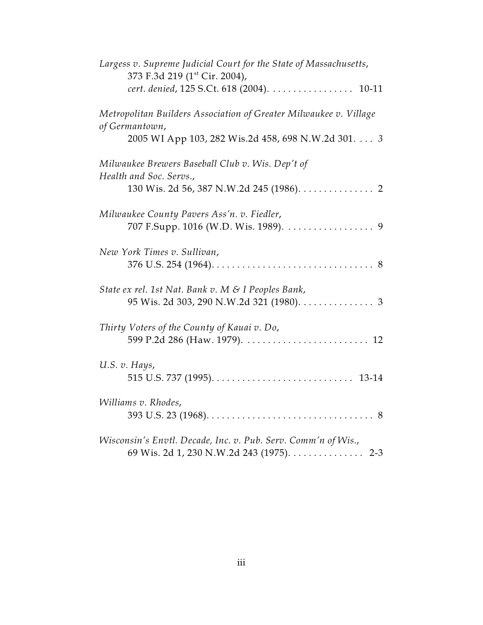| Largess v. Supreme Judicial Court for the State of Massachusetts,<br>373 F.3d 219 (1 <sup>st</sup> Cir. 2004), |
|----------------------------------------------------------------------------------------------------------------|
| cert. denied, 125 S.Ct. 618 (2004). 10-11                                                                      |
| Metropolitan Builders Association of Greater Milwaukee v. Village<br>of Germantown,                            |
| 2005 WI App 103, 282 Wis.2d 458, 698 N.W.2d 301. 3                                                             |
| Milwaukee Brewers Baseball Club v. Wis. Dep't of<br>Health and Soc. Servs.,                                    |
| 130 Wis. 2d 56, 387 N.W.2d 245 (1986). 2                                                                       |
| Milwaukee County Pavers Ass'n. v. Fiedler,                                                                     |
| New York Times v. Sullivan,                                                                                    |
| State ex rel. 1st Nat. Bank v. M & I Peoples Bank,<br>95 Wis. 2d 303, 290 N.W.2d 321 (1980). 3                 |
| Thirty Voters of the County of Kauai v. Do,                                                                    |
| U.S. v. Hays,                                                                                                  |
| Williams v. Rhodes,                                                                                            |
| Wisconsin's Envtl. Decade, Inc. v. Pub. Serv. Comm'n of Wis.,<br>69 Wis. 2d 1, 230 N.W.2d 243 (1975). 2-3      |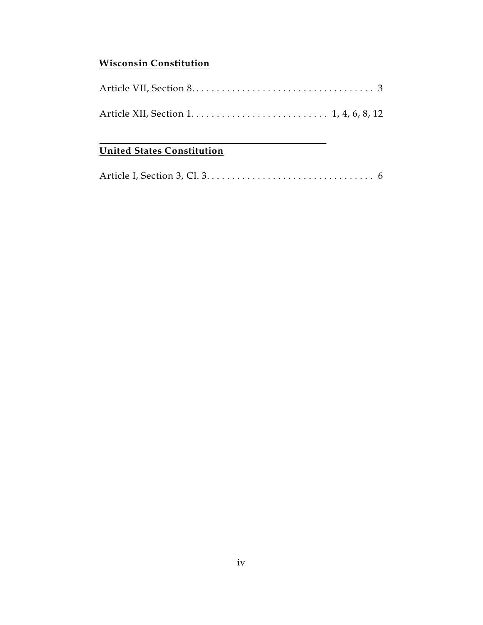### **Wisconsin Constitution**

### **United States Constitution**

|--|--|--|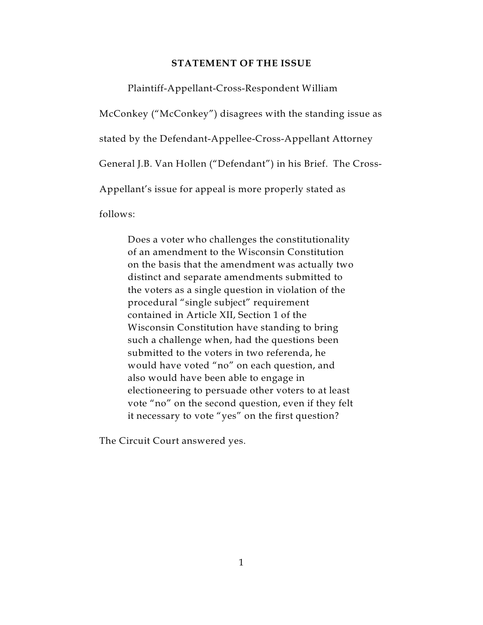#### **STATEMENT OF THE ISSUE**

Plaintiff-Appellant-Cross-Respondent William

McConkey ("McConkey") disagrees with the standing issue as stated by the Defendant-Appellee-Cross-Appellant Attorney General J.B. Van Hollen ("Defendant") in his Brief. The Cross-Appellant's issue for appeal is more properly stated as follows:

Does a voter who challenges the constitutionality of an amendment to the Wisconsin Constitution on the basis that the amendment was actually two distinct and separate amendments submitted to the voters as a single question in violation of the procedural "single subject" requirement contained in Article XII, Section 1 of the Wisconsin Constitution have standing to bring such a challenge when, had the questions been submitted to the voters in two referenda, he would have voted "no" on each question, and also would have been able to engage in electioneering to persuade other voters to at least vote "no" on the second question, even if they felt it necessary to vote "yes" on the first question?

The Circuit Court answered yes.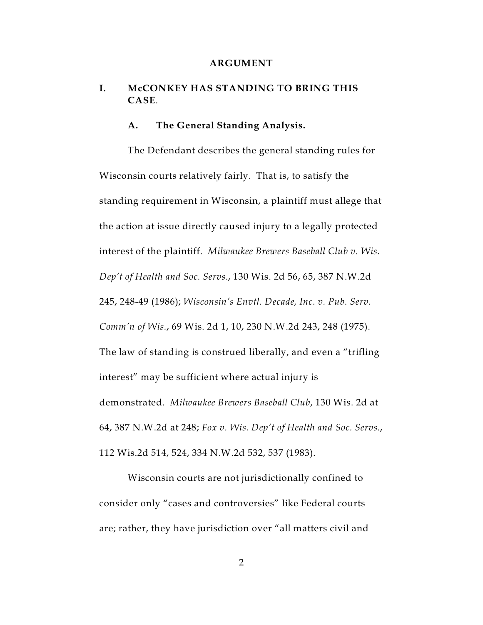#### **ARGUMENT**

### **I. McCONKEY HAS STANDING TO BRING THIS CASE**.

#### **A. The General Standing Analysis.**

The Defendant describes the general standing rules for Wisconsin courts relatively fairly. That is, to satisfy the standing requirement in Wisconsin, a plaintiff must allege that the action at issue directly caused injury to a legally protected interest of the plaintiff. *Milwaukee Brewers Baseball Club v. Wis. Dep't of Health and Soc. Servs*., 130 Wis. 2d 56, 65, 387 N.W.2d 245, 248-49 (1986); *Wisconsin's Envtl. Decade, Inc. v. Pub. Serv. Comm'n of Wis.*, 69 Wis. 2d 1, 10, 230 N.W.2d 243, 248 (1975). The law of standing is construed liberally, and even a "trifling interest" may be sufficient where actual injury is demonstrated*. Milwaukee Brewers Baseball Club*, 130 Wis. 2d at 64, 387 N.W.2d at 248; *Fox v. Wis. Dep't of Health and Soc. Servs.*, 112 Wis.2d 514, 524, 334 N.W.2d 532, 537 (1983).

Wisconsin courts are not jurisdictionally confined to consider only "cases and controversies" like Federal courts are; rather, they have jurisdiction over "all matters civil and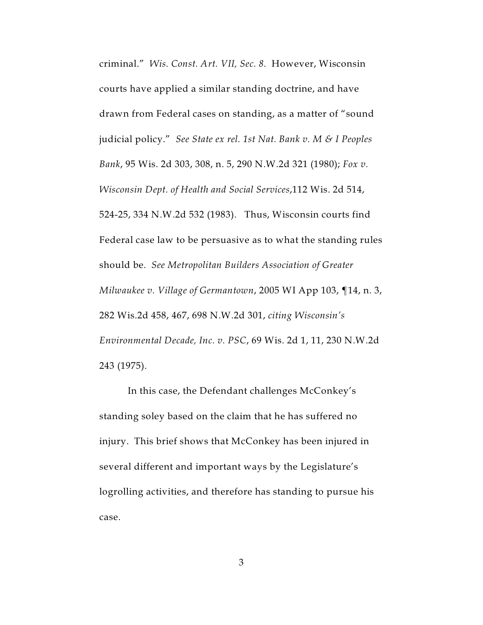criminal." *Wis. Const. Art. VII, Sec. 8.* However, Wisconsin courts have applied a similar standing doctrine, and have drawn from Federal cases on standing, as a matter of "sound judicial policy." *See State ex rel. 1st Nat. Bank v. M & I Peoples Bank*, 95 Wis. 2d 303, 308, n. 5, 290 N.W.2d 321 (1980); *Fox v. Wisconsin Dept. of Health and Social Services*,112 Wis. 2d 514, 524-25, 334 N.W.2d 532 (1983). Thus, Wisconsin courts find Federal case law to be persuasive as to what the standing rules should be. *See Metropolitan Builders Association of Greater Milwaukee v. Village of Germantown*, 2005 WI App 103, ¶14, n. 3, 282 Wis.2d 458, 467, 698 N.W.2d 301, *citing Wisconsin's Environmental Decade, Inc. v. PSC*, 69 Wis. 2d 1, 11, 230 N.W.2d 243 (1975).

In this case, the Defendant challenges McConkey's standing soley based on the claim that he has suffered no injury. This brief shows that McConkey has been injured in several different and important ways by the Legislature's logrolling activities, and therefore has standing to pursue his case.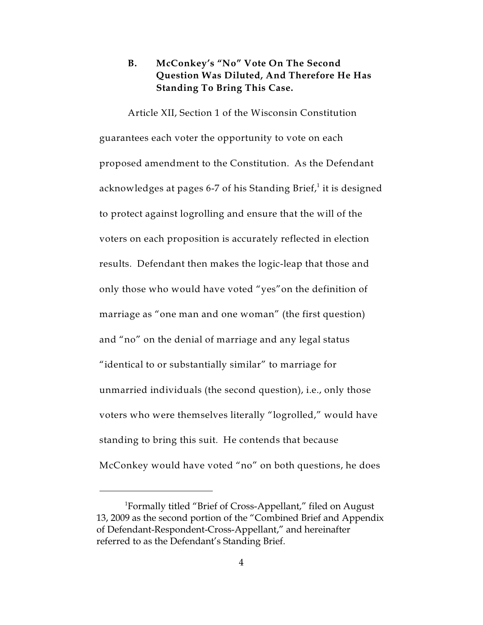### **B. McConkey's "No" Vote On The Second Question Was Diluted, And Therefore He Has Standing To Bring This Case.**

Article XII, Section 1 of the Wisconsin Constitution guarantees each voter the opportunity to vote on each proposed amendment to the Constitution. As the Defendant acknowledges at pages 6-7 of his Standing Brief,<sup>1</sup> it is designed to protect against logrolling and ensure that the will of the voters on each proposition is accurately reflected in election results. Defendant then makes the logic-leap that those and only those who would have voted "yes"on the definition of marriage as "one man and one woman" (the first question) and "no" on the denial of marriage and any legal status "identical to or substantially similar" to marriage for unmarried individuals (the second question), i.e., only those voters who were themselves literally "logrolled," would have standing to bring this suit. He contends that because McConkey would have voted "no" on both questions, he does

 ${}^{1}$ Formally titled "Brief of Cross-Appellant," filed on August 13, 2009 as the second portion of the "Combined Brief and Appendix of Defendant-Respondent-Cross-Appellant," and hereinafter referred to as the Defendant's Standing Brief.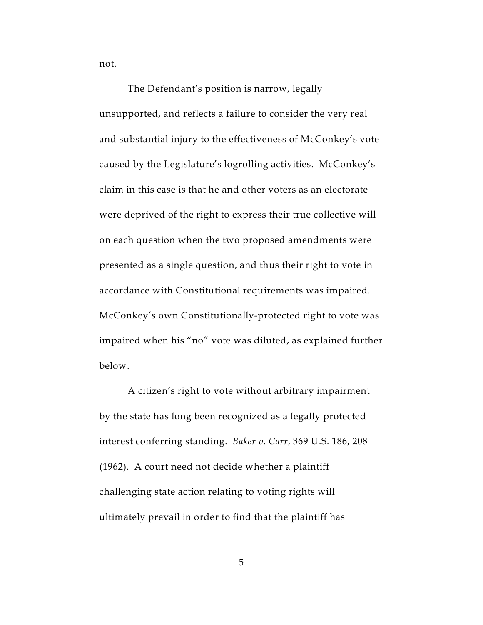not.

The Defendant's position is narrow, legally unsupported, and reflects a failure to consider the very real and substantial injury to the effectiveness of McConkey's vote caused by the Legislature's logrolling activities. McConkey's claim in this case is that he and other voters as an electorate were deprived of the right to express their true collective will on each question when the two proposed amendments were presented as a single question, and thus their right to vote in accordance with Constitutional requirements was impaired. McConkey's own Constitutionally-protected right to vote was impaired when his "no" vote was diluted, as explained further below.

A citizen's right to vote without arbitrary impairment by the state has long been recognized as a legally protected interest conferring standing. *Baker v. Carr*, 369 U.S. 186, 208 (1962). A court need not decide whether a plaintiff challenging state action relating to voting rights will ultimately prevail in order to find that the plaintiff has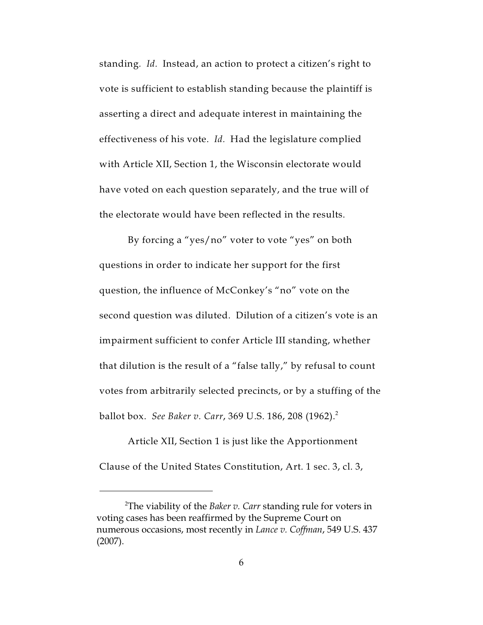standing*. Id.* Instead, an action to protect a citizen's right to vote is sufficient to establish standing because the plaintiff is asserting a direct and adequate interest in maintaining the effectiveness of his vote. *Id.* Had the legislature complied with Article XII, Section 1, the Wisconsin electorate would have voted on each question separately, and the true will of the electorate would have been reflected in the results.

By forcing a "yes/no" voter to vote "yes" on both questions in order to indicate her support for the first question, the influence of McConkey's "no" vote on the second question was diluted. Dilution of a citizen's vote is an impairment sufficient to confer Article III standing, whether that dilution is the result of a "false tally," by refusal to count votes from arbitrarily selected precincts, or by a stuffing of the ballot box. *See Baker v. Carr*, 369 U.S. 186, 208 (1962).<sup>2</sup>

Article XII, Section 1 is just like the Apportionment Clause of the United States Constitution, Art. 1 sec. 3, cl. 3,

The viability of the *Baker v. Carr* standing rule for voters in <sup>2</sup> voting cases has been reaffirmed by the Supreme Court on numerous occasions, most recently in *Lance v. Coffman*, 549 U.S. 437 (2007).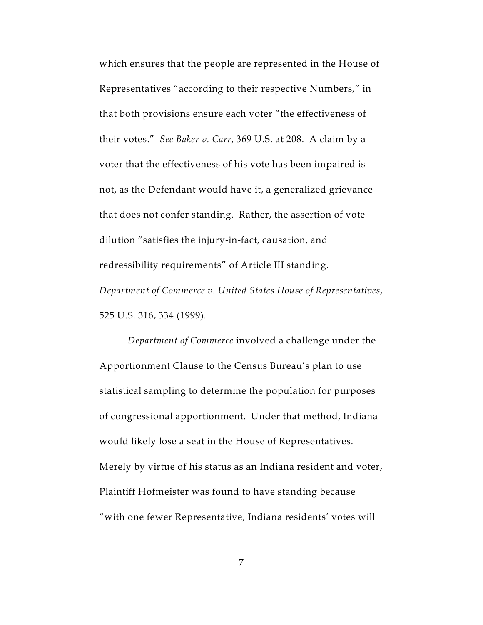which ensures that the people are represented in the House of Representatives "according to their respective Numbers," in that both provisions ensure each voter "the effectiveness of their votes." *See Baker v. Carr*, 369 U.S. at 208. A claim by a voter that the effectiveness of his vote has been impaired is not, as the Defendant would have it, a generalized grievance that does not confer standing. Rather, the assertion of vote dilution "satisfies the injury-in-fact, causation, and redressibility requirements" of Article III standing. *Department of Commerce v. United States House of Representatives*, 525 U.S. 316, 334 (1999).

*Department of Commerce* involved a challenge under the Apportionment Clause to the Census Bureau's plan to use statistical sampling to determine the population for purposes of congressional apportionment. Under that method, Indiana would likely lose a seat in the House of Representatives. Merely by virtue of his status as an Indiana resident and voter, Plaintiff Hofmeister was found to have standing because "with one fewer Representative, Indiana residents' votes will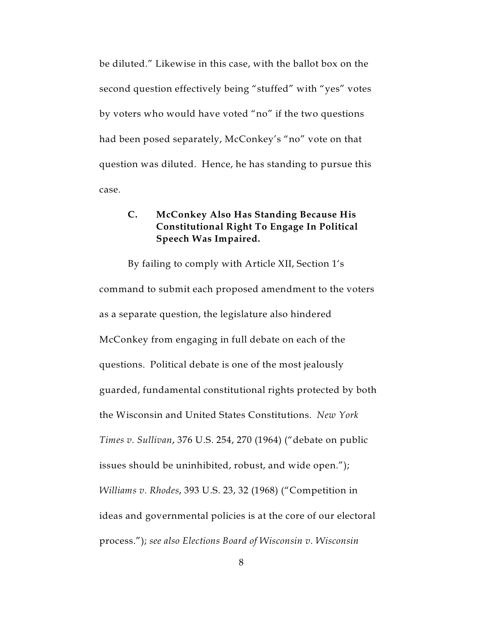be diluted." Likewise in this case, with the ballot box on the second question effectively being "stuffed" with "yes" votes by voters who would have voted "no" if the two questions had been posed separately, McConkey's "no" vote on that question was diluted. Hence, he has standing to pursue this case.

### **C. McConkey Also Has Standing Because His Constitutional Right To Engage In Political Speech Was Impaired.**

By failing to comply with Article XII, Section 1's command to submit each proposed amendment to the voters as a separate question, the legislature also hindered McConkey from engaging in full debate on each of the questions. Political debate is one of the most jealously guarded, fundamental constitutional rights protected by both the Wisconsin and United States Constitutions. *New York Times v. Sullivan*, 376 U.S. 254, 270 (1964) ("debate on public issues should be uninhibited, robust, and wide open."); *Williams v. Rhodes*, 393 U.S. 23, 32 (1968) ("Competition in ideas and governmental policies is at the core of our electoral process."); *see also Elections Board of Wisconsin v. Wisconsin*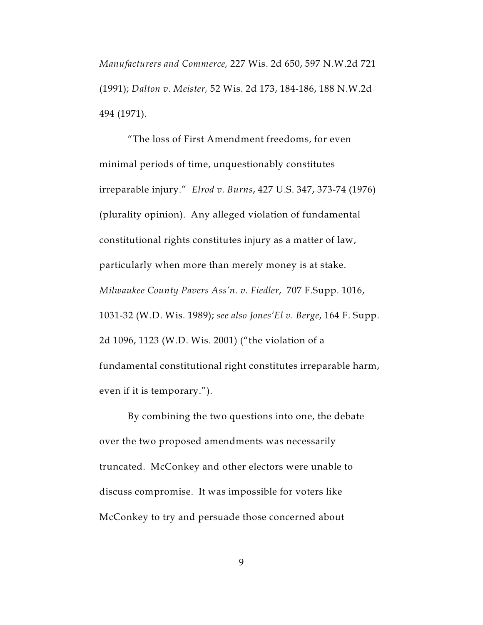*Manufacturers and Commerce,* 227 Wis. 2d 650, 597 N.W.2d 721 (1991); *Dalton v. Meister,* 52 Wis. 2d 173, 184-186, 188 N.W.2d 494 (1971).

"The loss of First Amendment freedoms, for even minimal periods of time, unquestionably constitutes irreparable injury." *Elrod v. Burns*, 427 U.S. 347, 373-74 (1976) (plurality opinion). Any alleged violation of fundamental constitutional rights constitutes injury as a matter of law, particularly when more than merely money is at stake. *Milwaukee County Pavers Ass'n. v. Fiedler*, 707 F.Supp. 1016, 1031-32 (W.D. Wis. 1989); *see also Jones'El v. Berge*, 164 F. Supp. 2d 1096, 1123 (W.D. Wis. 2001) ("the violation of a fundamental constitutional right constitutes irreparable harm, even if it is temporary.").

By combining the two questions into one, the debate over the two proposed amendments was necessarily truncated. McConkey and other electors were unable to discuss compromise. It was impossible for voters like McConkey to try and persuade those concerned about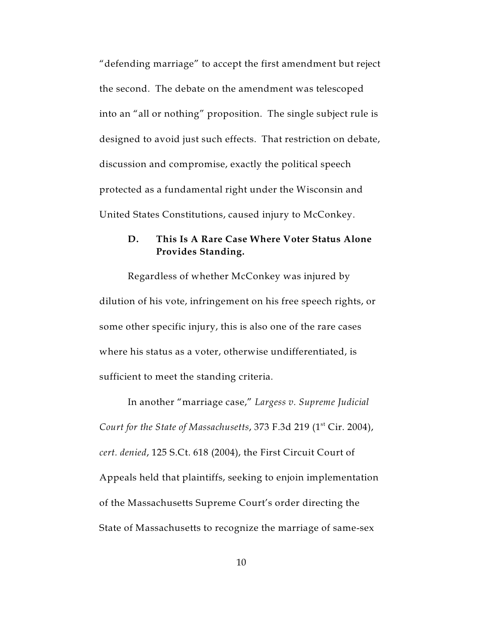"defending marriage" to accept the first amendment but reject the second. The debate on the amendment was telescoped into an "all or nothing" proposition. The single subject rule is designed to avoid just such effects. That restriction on debate, discussion and compromise, exactly the political speech protected as a fundamental right under the Wisconsin and United States Constitutions, caused injury to McConkey.

### **D. This Is A Rare Case Where Voter Status Alone Provides Standing.**

Regardless of whether McConkey was injured by dilution of his vote, infringement on his free speech rights, or some other specific injury, this is also one of the rare cases where his status as a voter, otherwise undifferentiated, is sufficient to meet the standing criteria.

In another "marriage case," *Largess v. Supreme Judicial Court for the State of Massachusetts,* 373 F.3d 219 (1<sup>st</sup> Cir. 2004), *cert. denied*, 125 S.Ct. 618 (2004), the First Circuit Court of Appeals held that plaintiffs, seeking to enjoin implementation of the Massachusetts Supreme Court's order directing the State of Massachusetts to recognize the marriage of same-sex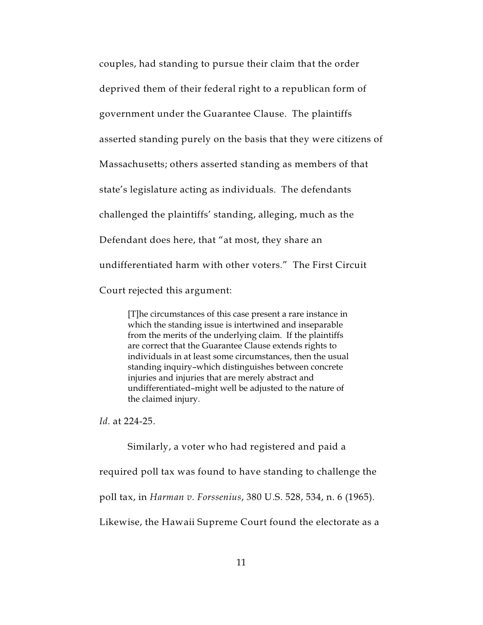couples, had standing to pursue their claim that the order deprived them of their federal right to a republican form of government under the Guarantee Clause. The plaintiffs asserted standing purely on the basis that they were citizens of Massachusetts; others asserted standing as members of that state's legislature acting as individuals. The defendants challenged the plaintiffs' standing, alleging, much as the Defendant does here, that "at most, they share an undifferentiated harm with other voters." The First Circuit Court rejected this argument:

[T]he circumstances of this case present a rare instance in which the standing issue is intertwined and inseparable from the merits of the underlying claim. If the plaintiffs are correct that the Guarantee Clause extends rights to individuals in at least some circumstances, then the usual standing inquiry–which distinguishes between concrete injuries and injuries that are merely abstract and undifferentiated–might well be adjusted to the nature of the claimed injury.

*Id.* at 224-25.

Similarly, a voter who had registered and paid a required poll tax was found to have standing to challenge the poll tax, in *Harman v. Forssenius*, 380 U.S. 528, 534, n. 6 (1965). Likewise, the Hawaii Supreme Court found the electorate as a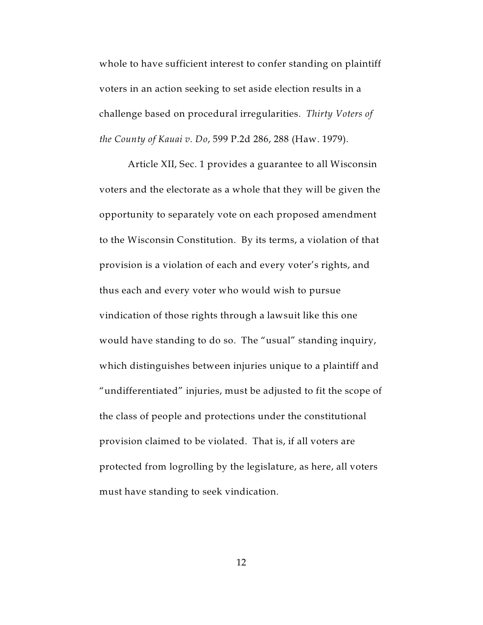whole to have sufficient interest to confer standing on plaintiff voters in an action seeking to set aside election results in a challenge based on procedural irregularities. *Thirty Voters of the County of Kauai v. Do*, 599 P.2d 286, 288 (Haw. 1979).

Article XII, Sec. 1 provides a guarantee to all Wisconsin voters and the electorate as a whole that they will be given the opportunity to separately vote on each proposed amendment to the Wisconsin Constitution. By its terms, a violation of that provision is a violation of each and every voter's rights, and thus each and every voter who would wish to pursue vindication of those rights through a lawsuit like this one would have standing to do so. The "usual" standing inquiry, which distinguishes between injuries unique to a plaintiff and "undifferentiated" injuries, must be adjusted to fit the scope of the class of people and protections under the constitutional provision claimed to be violated. That is, if all voters are protected from logrolling by the legislature, as here, all voters must have standing to seek vindication.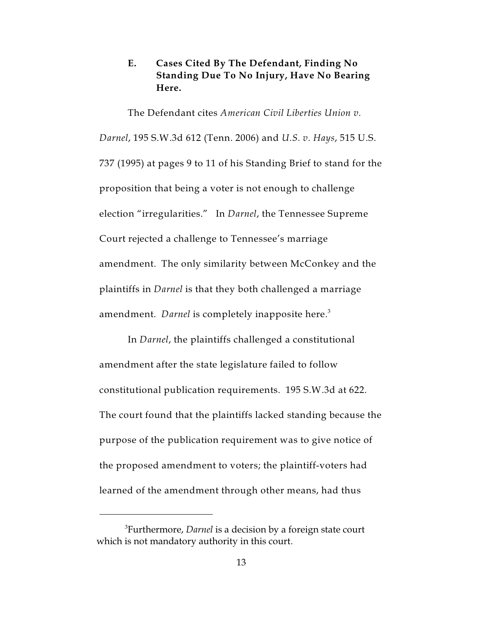### **E. Cases Cited By The Defendant, Finding No Standing Due To No Injury, Have No Bearing Here.**

The Defendant cites *American Civil Liberties Union v. Darnel*, 195 S.W.3d 612 (Tenn. 2006) and *U.S. v. Hays*, 515 U.S. 737 (1995) at pages 9 to 11 of his Standing Brief to stand for the proposition that being a voter is not enough to challenge election "irregularities." In *Darnel*, the Tennessee Supreme Court rejected a challenge to Tennessee's marriage amendment. The only similarity between McConkey and the plaintiffs in *Darnel* is that they both challenged a marriage amendment. *Darnel* is completely inapposite here.<sup>3</sup>

In *Darnel*, the plaintiffs challenged a constitutional amendment after the state legislature failed to follow constitutional publication requirements. 195 S.W.3d at 622. The court found that the plaintiffs lacked standing because the purpose of the publication requirement was to give notice of the proposed amendment to voters; the plaintiff-voters had learned of the amendment through other means, had thus

<sup>&</sup>lt;sup>3</sup> Furthermore, *Darnel* is a decision by a foreign state court which is not mandatory authority in this court.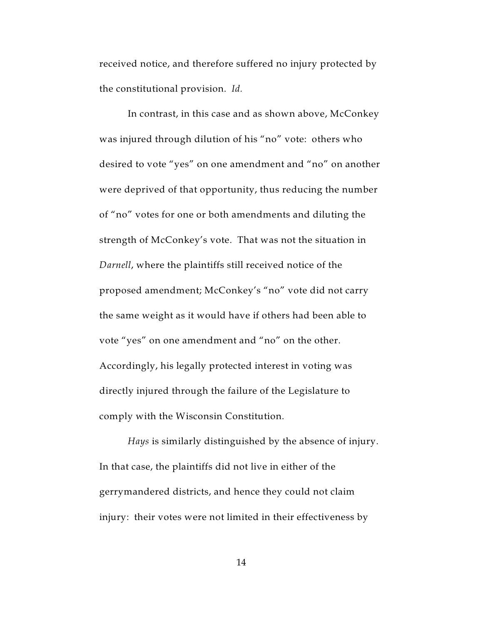received notice, and therefore suffered no injury protected by the constitutional provision. *Id.*

In contrast, in this case and as shown above, McConkey was injured through dilution of his "no" vote: others who desired to vote "yes" on one amendment and "no" on another were deprived of that opportunity, thus reducing the number of "no" votes for one or both amendments and diluting the strength of McConkey's vote. That was not the situation in *Darnell*, where the plaintiffs still received notice of the proposed amendment; McConkey's "no" vote did not carry the same weight as it would have if others had been able to vote "yes" on one amendment and "no" on the other. Accordingly, his legally protected interest in voting was directly injured through the failure of the Legislature to comply with the Wisconsin Constitution.

*Hays* is similarly distinguished by the absence of injury. In that case, the plaintiffs did not live in either of the gerrymandered districts, and hence they could not claim injury: their votes were not limited in their effectiveness by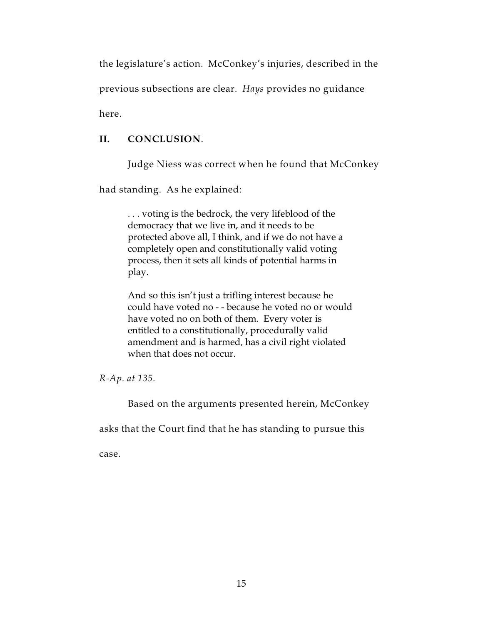the legislature's action. McConkey's injuries, described in the

previous subsections are clear. *Hays* provides no guidance

here.

### **II. CONCLUSION**.

Judge Niess was correct when he found that McConkey

had standing. As he explained:

. . . voting is the bedrock, the very lifeblood of the democracy that we live in, and it needs to be protected above all, I think, and if we do not have a completely open and constitutionally valid voting process, then it sets all kinds of potential harms in play.

And so this isn't just a trifling interest because he could have voted no - - because he voted no or would have voted no on both of them. Every voter is entitled to a constitutionally, procedurally valid amendment and is harmed, has a civil right violated when that does not occur.

*R-Ap. at 135.*

Based on the arguments presented herein, McConkey

asks that the Court find that he has standing to pursue this

case.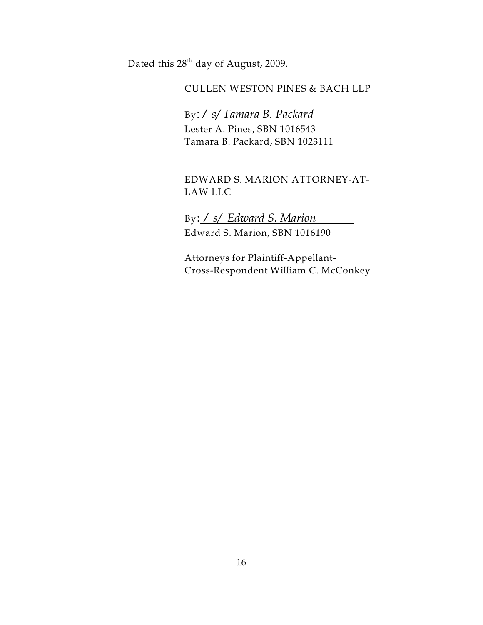Dated this  $28<sup>th</sup>$  day of August, 2009.

### CULLEN WESTON PINES & BACH LLP

### By: */ s/ Tamara B. Packard*

Lester A. Pines, SBN 1016543 Tamara B. Packard, SBN 1023111

### EDWARD S. MARION ATTORNEY-AT-LAW LLC

By: */ s/ Edward S. Marion*  Edward S. Marion, SBN 1016190

Attorneys for Plaintiff-Appellant-Cross-Respondent William C. McConkey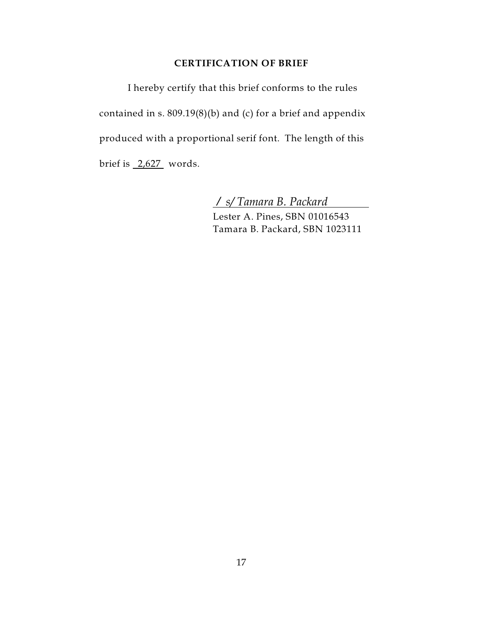#### **CERTIFICATION OF BRIEF**

I hereby certify that this brief conforms to the rules contained in s.  $809.19(8)(b)$  and (c) for a brief and appendix produced with a proportional serif font. The length of this brief is  $\frac{2,627}{ }$  words.

*/ s/ Tamara B. Packard* 

Lester A. Pines, SBN 01016543 Tamara B. Packard, SBN 1023111